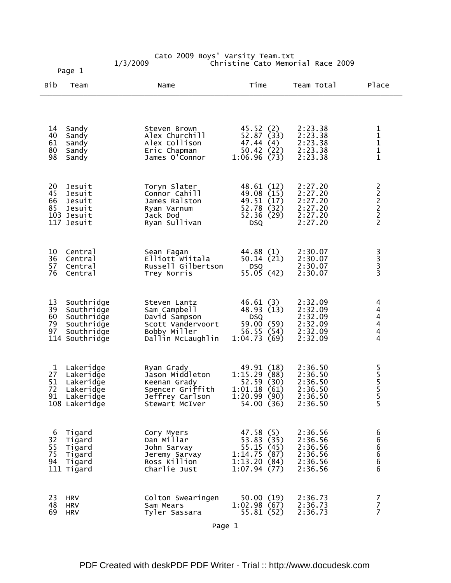|                            | Page 1                                                                               |                                                                                                         |                                                                                    |                                                                |                                                 |
|----------------------------|--------------------------------------------------------------------------------------|---------------------------------------------------------------------------------------------------------|------------------------------------------------------------------------------------|----------------------------------------------------------------|-------------------------------------------------|
| Bib                        | Team                                                                                 | Name                                                                                                    | Time                                                                               | Team Total                                                     | Place                                           |
| 14                         | Sandy                                                                                | Steven Brown                                                                                            | 45.52(2)                                                                           | 2:23.38                                                        |                                                 |
| 40<br>61<br>80<br>98       | Sandy<br>Sandy<br>Sandy<br>Sandy                                                     | Alex Churchill<br>Alex Collison<br>Eric Chapman<br>James O'Connor                                       | 52.87 (33)<br>47.44<br>(4)<br>50.42(22)<br>1:06.96(73)                             | 2:23.38<br>2:23.38<br>2:23.38<br>2:23.38                       | $\begin{array}{c} 1 \\ 1 \\ 1 \\ 1 \end{array}$ |
| 20<br>45<br>66<br>85       | Jesuit<br>Jesuit<br>Jesuit<br>Jesuit<br>103 Jesuit<br>117 Jesuit                     | Toryn Slater<br>Connor Cahill<br>James Ralston<br>Ryan Varnum<br>Jack Dod<br>Ryan Sullivan              | 48.61 (12)<br>49.08 (15)<br>49.51 (17)<br>52.78 (32)<br>52.36 (29)<br><b>DSQ</b>   | 2:27.20<br>2:27.20<br>2:27.20<br>2:27.20<br>2:27.20<br>2:27.20 | 22222                                           |
| 10<br>36<br>57<br>76       | Central<br>Central<br>Central<br>Central                                             | Sean Fagan<br>Elliott Wiitala<br>Russell Gilbertson<br>Trey Norris                                      | 44.88 (1)<br>50.14(21)<br><b>DSQ</b><br>55.05(42)                                  | 2:30.07<br>2:30.07<br>2:30.07<br>2:30.07                       | $\begin{array}{c} 3 \\ 3 \\ 3 \\ 3 \end{array}$ |
| 13<br>39<br>60<br>79<br>97 | Southridge<br>Southridge<br>Southridge<br>Southridge<br>Southridge<br>114 Southridge | Steven Lantz<br>Sam Campbell<br>David Sampson<br>Scott Vandervoort<br>Bobby Miller<br>Dallin McLaughlin | 46.61(3)<br>48.93 (13)<br><b>DSQ</b><br>59.00 (59)<br>56.55 (54)<br>1:04.73(69)    | 2:32.09<br>2:32.09<br>2:32.09<br>2:32.09<br>2:32.09<br>2:32.09 | $444$<br>$44$<br>4                              |
| 1<br>27<br>51<br>72        | Lakeridge<br>Lakeridge<br>Lakeridge<br>Lakeridge<br>91 Lakeridge<br>108 Lakeridge    | Ryan Grady<br>Jason Middleton<br>Keenan Grady<br>Spencer Griffith<br>Jeffrey Carlson<br>Stewart McIver  | 49.91 (18)<br>1:15.29(88)<br>52.59(30)<br>1:01.18(61)<br>1:20.99(90)<br>54.00 (36) | 2:36.50<br>2:36.50<br>2:36.50<br>2:36.50<br>2:36.50<br>2:36.50 | 5<br>5<br>5<br>5<br>5<br>$\overline{5}$         |
| 6<br>32<br>55<br>75<br>94  | Tigard<br>Tigard<br>Tigard<br>Tigard<br>Tigard<br>111 Tigard                         | Cory Myers<br>Dan Millar<br>John Sarvay<br>Jeremy Sarvay<br>Ross Killion<br>Charlie Just                | 47.58(5)<br>53.83(35)<br>55.15(45)<br>1:14.75(87)<br>1:13.20(84)<br>1:07.94(77)    | 2:36.56<br>2:36.56<br>2:36.56<br>2:36.56<br>2:36.56<br>2:36.56 | 6<br>6666                                       |
| 23<br>48<br>69             | <b>HRV</b><br><b>HRV</b><br><b>HRV</b>                                               | Colton Swearingen<br>Sam Mears<br>Tyler Sassara                                                         | 50.00(19)<br>1:02.98(67)<br>55.81 (52)                                             | 2:36.73<br>2:36.73<br>2:36.73                                  | $\frac{7}{7}$<br>$\overline{7}$                 |

Cato 2009 Boys' Varsity Team.txt 1/3/2009 Christine Cato Memorial Race 2009

Page 1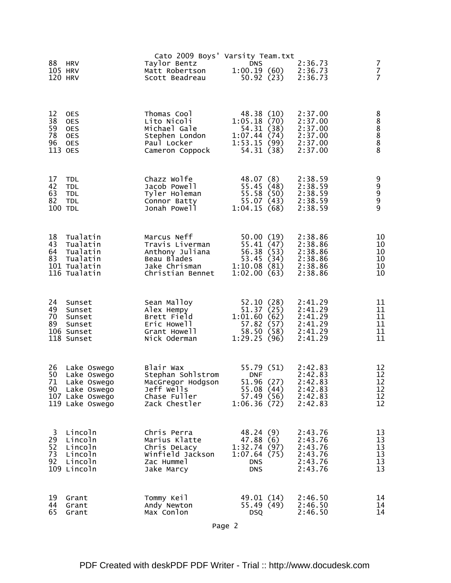| 88                   | <b>HRV</b>                                                             | Cato 2009 Boys' Varsity Team.txt<br>Taylor Bentz                             | <b>DNS</b>                                                         |                          | 2:36.73                                             | 7                                |
|----------------------|------------------------------------------------------------------------|------------------------------------------------------------------------------|--------------------------------------------------------------------|--------------------------|-----------------------------------------------------|----------------------------------|
|                      | 105 HRV<br>120 HRV                                                     | Matt Robertson<br>Scott Beadreau                                             | 1:00.19(60)                                                        | 50.92(23)                | 2:36.73<br>2:36.73                                  | $\overline{7}$<br>$\overline{7}$ |
| 12<br>38<br>59<br>78 | <b>OES</b><br><b>OES</b><br><b>OES</b><br><b>OES</b>                   | Thomas Cool<br>Lito Nicoli<br>Michael Gale<br>Stephen London                 | 48.38 (10)<br>1:05.18(70)<br>54.31 (38)<br>1:07.44(74)             |                          | 2:37.00<br>2:37.00<br>2:37.00<br>2:37.00            | 8888888                          |
| 96                   | <b>OES</b><br>113 OES                                                  | Paul Locker<br>Cameron Coppock                                               | 1:53.15(99)                                                        | 54.31 (38)               | 2:37.00<br>2:37.00                                  |                                  |
| 17<br>42<br>63<br>82 | <b>TDL</b><br><b>TDL</b><br><b>TDL</b><br><b>TDL</b><br><b>100 TDL</b> | Chazz Wolfe<br>Jacob Powell<br>Tyler Holeman<br>Connor Batty<br>Jonah Powell | 48.07 (8)<br>55.45 (48)<br>55.58 (50)<br>55.07 (43)<br>1:04.15(68) |                          | 2:38.59<br>2:38.59<br>2:38.59<br>2:38.59<br>2:38.59 | 9<br>9<br>9<br>9                 |
|                      |                                                                        |                                                                              |                                                                    |                          |                                                     |                                  |
| 43<br>64             | 18 Tualatin<br>Tualatin<br>Tualatin<br>83 Tualatin                     | Marcus Neff<br>Travis Liverman<br>Anthony Juliana<br>Beau Blades             | 50.00(19)<br>55.41(47)<br>56.38(53)<br>53.45 (34)                  |                          | 2:38.86<br>2:38.86<br>2:38.86<br>2:38.86            | 10<br>10<br>10<br>10             |
|                      | 101 Tualatin<br>116 Tualatin                                           | Jake Chrisman<br>Christian Bennet                                            | 1:10.08(81)<br>1:02.00(63)                                         |                          | 2:38.86<br>2:38.86                                  | 10<br>10                         |
| 24<br>49             | Sunset<br>Sunset<br>70 Sunset<br>89 Sunset                             | Sean Malloy<br>Alex Hempy<br>Brett Field<br>Eric Howell                      | 52.10(28)<br>51.37(25)<br>1:01.60(62)<br>57.82 (57)                |                          | 2:41.29<br>2:41.29<br>2:41.29<br>2:41.29            | 11<br>11<br>11<br>11             |
|                      | 106 Sunset<br>118 Sunset                                               | Grant Howell<br>Nick Oderman                                                 | 58.50 (58)<br>1:29.25(96)                                          |                          | 2:41.29<br>2:41.29                                  | 11<br>11                         |
| 26<br>50             | Lake Oswego<br>Lake Oswego<br>71 Lake Oswego<br>90 Lake Oswego         | Blair Wax<br>Stephan Sohlstrom<br>MacGregor Hodgson<br>Jeff Wells            | 55.79 (51)<br><b>DNF</b><br>51.96 (27)<br>55.08(44)                |                          | 2:42.83<br>2:42.83<br>2:42.83<br>2:42.83            | 12<br>12<br>12<br>12             |
|                      | 107 Lake Oswego<br>119 Lake Oswego                                     | Chase Fuller<br>Zack Chestler                                                | 57.49(56)<br>1:06.36(72)                                           |                          | 2:42.83<br>2:42.83                                  | 12<br>12                         |
| 3<br>52              | Lincoln<br>29 Lincoln<br>Lincoln                                       | Chris Perra<br>Marius Klatte<br>Chris DeLacy                                 | 48.24(9)<br>47.88(6)<br>1:32.74(97)                                |                          | 2:43.76<br>2:43.76<br>2:43.76                       | 13<br>13<br>13                   |
| 73<br>92             | Lincoln<br>Lincoln<br>109 Lincoln                                      | Winfield Jackson<br>Zac Hummel<br>Jake Marcy                                 | 1:07.64(75)<br><b>DNS</b><br><b>DNS</b>                            |                          | 2:43.76<br>2:43.76<br>2:43.76                       | 13<br>13<br>13                   |
| 19<br>44<br>65       | Grant<br>Grant<br>Grant                                                | Tommy Keil<br>Andy Newton<br>Max Conlon                                      | <b>DSQ</b>                                                         | 49.01 (14)<br>55.49 (49) | 2:46.50<br>2:46.50<br>2:46.50                       | 14<br>14<br>14                   |
|                      |                                                                        |                                                                              |                                                                    |                          |                                                     |                                  |